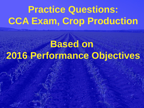## **Practice Questions: CCA Exam, Crop Production**

## **Based on 2016 Performance Objectives**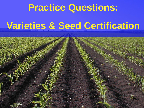### **Practice Questions:**

## **Varieties & Seed Certification**

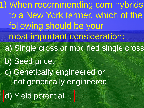1) When recommending corn hybrids to a New York farmer, which of the following should be your most important consideration: a) Single cross or modified single cross b) Seed price. c) Genetically engineered or not genetically engineered.

d) Yield potential.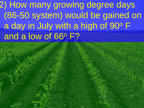2) How many growing degree days (86-50 system) would be gained on a day in July with a high of 90° F and a low of 66° F?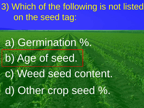## 3) Which of the following is not listed on the seed tag:

# a) Germination %. b) Age of seed. c) Weed seed content. d) Other crop seed %.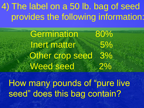### 4) The label on a 50 lb. bag of seed provides the following information:

Germination 80% Inert matter 5% Other crop seed 3% Weed seed 2%

How many pounds of "pure live seed" does this bag contain?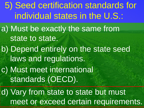5) Seed certification standards for individual states in the U.S.: a) Must be exactly the same from state to state. b) Depend entirely on the state seed laws and regulations. c) Must meet international standards (OECD). d) Vary from state to state but must meet or exceed certain requirements.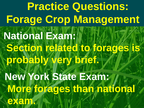**Practice Questions: Forage Crop Management National Exam: Section related to forages is probably very brief. New York State Exam: More forages than national exam.**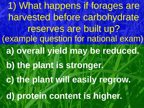1) What happens if forages are harvested before carbohydrate reserves are built up? **a) overall yield may be reduced. b) the plant is stronger. c) the plant will easily regrow. d) protein content is higher.** (example question for national exam)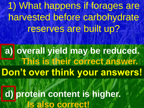1) What happens if forages are harvested before carbohydrate reserves are built up?

**Don't over think your answers! a) overall yield may be reduced. This is their correct answer. d) protein content is higher. Is also correct!**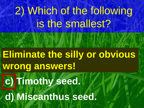## 2) Which of the following is the smallest? **a) Eliminate the silly or obviou** wrong answers! **c) Timothy seed. d) Miscanthus seed. Eliminate the silly or obvious**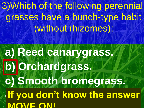3)Which of the following perennial grasses have a bunch-type habit (without rhizomes):

**a) Reed canarygrass. b) Orchardgrass. c) Smooth bromegrass. Kilf you don't know the answer MOVE ON!**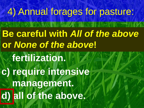4) Annual forages for pasture: **Be careful with All of the above** or *None of the above!* **fertilization. c) require intensive management. d) all of the above. Be careful with** *All of the above*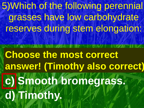5)Which of the following perennial grasses have low carbohydrate reserves during stem elongation:

**Choose the most co b) Perennial ryegrass. answer! (Timothy also correct)c) Smooth bromegrass. d) Timothy. Choose the most correct**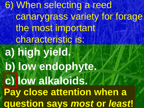6) When selecting a reed canarygrass variety for forage the most important characteristic is: **a) high yield. b) low endophyte. c) low alkaloids. Pay close attention when a question says** *most* **or** *least***!**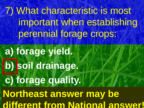7) What characteristic is most important when establishing perennial forage crops: **a) forage yield. b) soil drainage. c) forage quality. Northeast answer may be different from National answer!**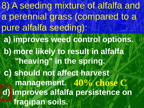8) A seeding mixture of alfalfa and a perennial grass (compared to a pure alfalfa seeding): **a) improves weed control options. b) more likely to result in alfalfa "heaving" in the spring. c) should not affect harvest management. 40% chose Cd) improves alfalfa persistence on fragipan soils.**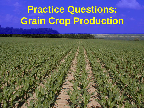## **Practice Questions: Grain Crop Production**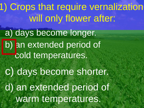1) Crops that require vernalization will only flower after: a) days become longer. b) an extended period of cold temperatures. c) days become shorter. d) an extended period of warm temperatures.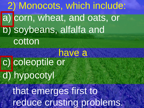2) Monocots, which include: a) corn, wheat, and oats, or b) soybeans, alfalfa and cotton

c) coleoptile or d) hypocotyl have a that emerges first to reduce crusting problems.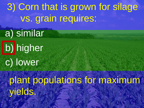3) Corn that is grown for silage vs. grain requires:

a) similar b) higher c) lower

> plant populations for maximum yields.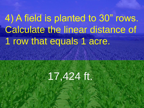## 4) A field is planted to 30" rows. Calculate the linear distance of 1 row that equals 1 acre.

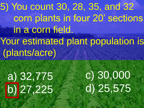5) You count 30, 28, 35, and 32 corn plants in four 20' sections in a corn field. Your estimated plant population is (plants/acre)

## a) 32,775 b) 27,225

## c) 30,000 d) 25,575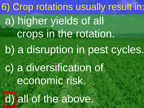6) Crop rotations usually result in: a) higher yields of all crops in the rotation. b) a disruption in pest cycles. c) a diversification of economic risk. d) all of the above.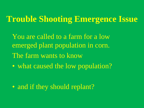You are called to a farm for a low emerged plant population in corn. The farm wants to know

• what caused the low population?

• and if they should replant?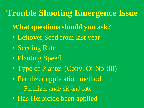- **What questions should you ask?**
- Leftover Seed from last year
- Seeding Rate
- Planting Speed
- Type of Planter (Conv. Or No-till)
- Fertilizer application method

– Fertilizer analysis and rate

• Has Herbicide been applied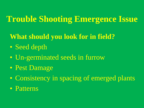#### **What should you look for in field?**

- Seed depth
- Un-germinated seeds in furrow
- Pest Damage
- Consistency in spacing of emerged plants
- Patterns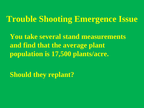**You take several stand measurements and find that the average plant population is 17,500 plants/acre.**

**Should they replant?**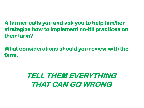**A farmer calls you and ask you to help him/her strategize how to implement no-till practices on their farm?** 

**What considerations should you review with the farm.**

#### **TELL THEM EVERYTHING THAT CAN GO WRONG**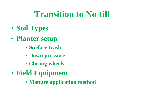#### **Transition to No-till**

- **Soil Types**
- **Planter setup**
	- **Surface trash**
	- **Down pressure**
	- **Closing wheels**
- **Field Equipment**
	- **Manure application method**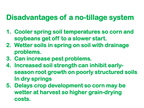#### **Disadvantages of a no-tillage system**

- **1. Cooler spring soil temperatures so corn and soybeans get off to a slower start.**
- **2. Wetter soils in spring on soil with drainage problems.**
- **3. Can increase pest problems.**
- **4. Increased soil strength can inhibit earlyseason root growth on poorly structured soils In dry springs**
- **5. Delays crop development so corn may be wetter at harvest so higher grain-drying costs.**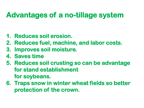#### **Advantages of a no-tillage system**

- **1. Reduces soil erosion.**
- **2. Reduces fuel, machine, and labor costs.**
- **3. Improves soil moisture.**
- **4. Saves time**
- **5. Reduces soil crusting so can be advantage for stand establishment for soybeans.**
- **6. Traps snow in winter wheat fields so better protection of the crown.**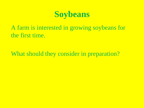

A farm is interested in growing soybeans for the first time.

What should they consider in preparation?